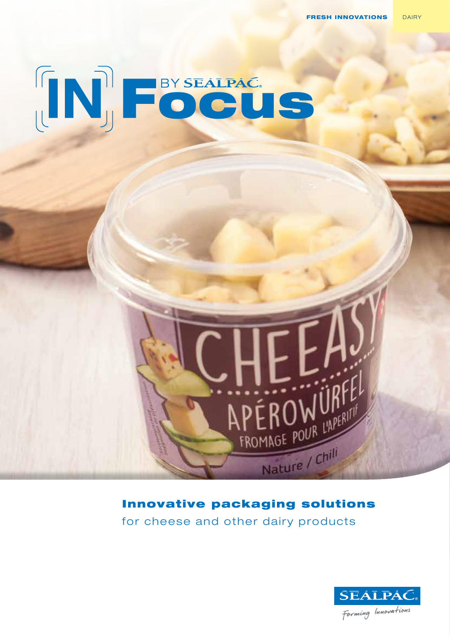

## Innovative packaging solutions

APEROWURFEL

Nature / Chili

for cheese and other dairy products

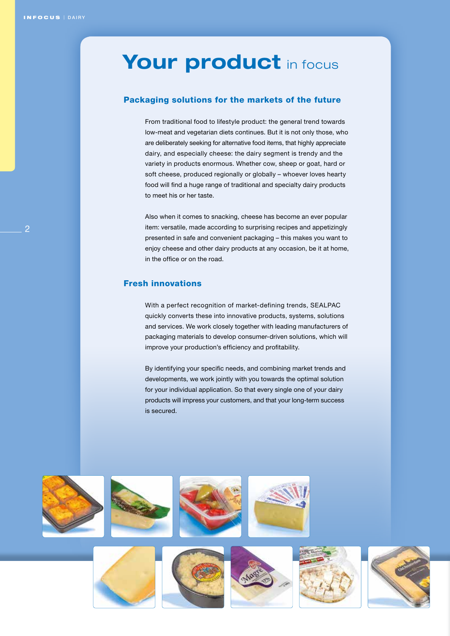## Your product in focus

### Packaging solutions for the markets of the future

From traditional food to lifestyle product: the general trend towards low-meat and vegetarian diets continues. But it is not only those, who are deliberately seeking for alternative food items, that highly appreciate dairy, and especially cheese: the dairy segment is trendy and the variety in products enormous. Whether cow, sheep or goat, hard or soft cheese, produced regionally or globally – whoever loves hearty food will find a huge range of traditional and specialty dairy products to meet his or her taste.

Also when it comes to snacking, cheese has become an ever popular item: versatile, made according to surprising recipes and appetizingly presented in safe and convenient packaging – this makes you want to enjoy cheese and other dairy products at any occasion, be it at home, in the office or on the road.

### Fresh innovations

With a perfect recognition of market-defining trends, SEALPAC quickly converts these into innovative products, systems, solutions and services. We work closely together with leading manufacturers of packaging materials to develop consumer-driven solutions, which will improve your production's efficiency and profitability.

By identifying your specific needs, and combining market trends and developments, we work jointly with you towards the optimal solution for your individual application. So that every single one of your dairy products will impress your customers, and that your long-term success is secured.



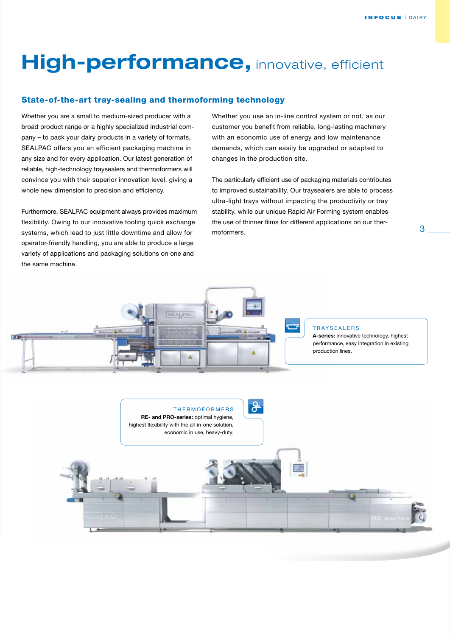# **High-performance, innovative, efficient**

### State-of-the-art tray-sealing and thermoforming technology

Whether you are a small to medium-sized producer with a broad product range or a highly specialized industrial company – to pack your dairy products in a variety of formats, SEALPAC offers you an efficient packaging machine in any size and for every application. Our latest generation of reliable, high-technology traysealers and thermoformers will convince you with their superior innovation level, giving a whole new dimension to precision and efficiency.

Furthermore, SEALPAC equipment always provides maximum flexibility. Owing to our innovative tooling quick exchange systems, which lead to just little downtime and allow for operator-friendly handling, you are able to produce a large variety of applications and packaging solutions on one and the same machine.

Whether you use an in-line control system or not, as our customer you benefit from reliable, long-lasting machinery with an economic use of energy and low maintenance demands, which can easily be upgraded or adapted to changes in the production site.

The particularly efficient use of packaging materials contributes to improved sustainability. Our traysealers are able to process ultra-light trays without impacting the productivity or tray stability, while our unique Rapid Air Forming system enables the use of thinner films for different applications on our thermoformers. 3

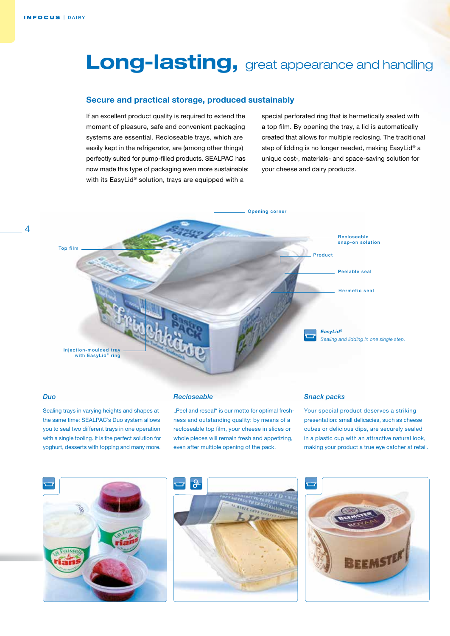## Long-lasting, great appearance and handling

### **Secure and practical storage, produced sustainably**

If an excellent product quality is required to extend the moment of pleasure, safe and convenient packaging systems are essential. Recloseable trays, which are easily kept in the refrigerator, are (among other things) perfectly suited for pump-filled products. SEALPAC has now made this type of packaging even more sustainable: with its EasyLid® solution, trays are equipped with a

special perforated ring that is hermetically sealed with a top film. By opening the tray, a lid is automatically created that allows for multiple reclosing. The traditional step of lidding is no longer needed, making EasyLid® a unique cost-, materials- and space-saving solution for your cheese and dairy products.



### *Duo*

 $\overline{\mathcal{A}}$ 

Sealing trays in varying heights and shapes at the same time: SEALPAC's Duo system allows you to seal two different trays in one operation with a single tooling. It is the perfect solution for yoghurt, desserts with topping and many more.

### *Recloseable*

"Peel and reseal" is our motto for optimal freshness and outstanding quality: by means of a recloseable top film, your cheese in slices or whole pieces will remain fresh and appetizing, even after multiple opening of the pack.

### *Snack packs*

Your special product deserves a striking presentation: small delicacies, such as cheese cubes or delicious dips, are securely sealed in a plastic cup with an attractive natural look, making your product a true eye catcher at retail.





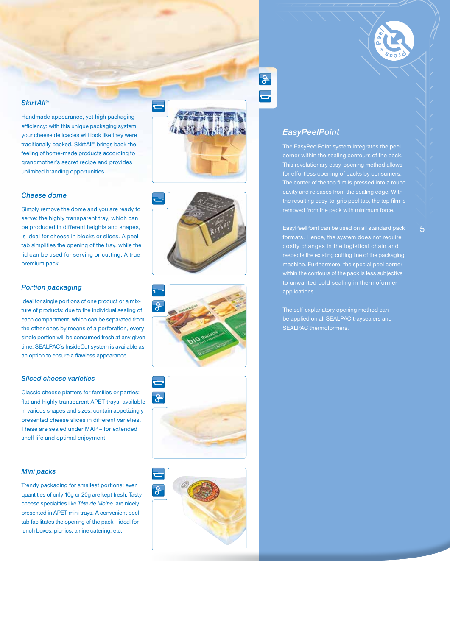### *SkirtAll®*

Handmade appearance, yet high packaging efficiency: with this unique packaging system your cheese delicacies will look like they were traditionally packed. SkirtAll® brings back the feeling of home-made products according to grandmother's secret recipe and provides unlimited branding opportunities.

ᇰ

ခြ

### *Cheese dome*

Simply remove the dome and you are ready to serve: the highly transparent tray, which can be produced in different heights and shapes, is ideal for cheese in blocks or slices. A peel tab simplifies the opening of the tray, while the lid can be used for serving or cutting. A true premium pack.

### *Portion packaging*

Ideal for single portions of one product or a mixture of products: due to the individual sealing of each compartment, which can be separated from the other ones by means of a perforation, every single portion will be consumed fresh at any given time. SEALPAC's InsideCut system is available as an option to ensure a flawless appearance.

### *Sliced cheese varieties*

Classic cheese platters for families or parties: flat and highly transparent APET trays, available in various shapes and sizes, contain appetizingly presented cheese slices in different varieties. These are sealed under MAP – for extended shelf life and optimal enjoyment.

### *Mini packs*

Trendy packaging for smallest portions: even quantities of only 10g or 20g are kept fresh. Tasty cheese specialties like *Tête de Moine* are nicely presented in APET mini trays. A convenient peel tab facilitates the opening of the pack – ideal for lunch boxes, picnics, airline catering, etc.



The EasyPeelPoint system integrates the peel corner within the sealing contours of the pack. This revolutionary easy-opening method allows cavity and releases from the sealing edge. With the resulting easy-to-grip peel tab, the top film is

EasyPeelPoint can be used on all standard pack formats. Hence, the system does not require costly changes in the logistical chain and respects the existing cutting line of the packaging machine. Furthermore, the special peel corner within the contours of the pack is less subjective to unwanted cold sealing in thermoformer applications.

The self-explanatory opening method can be applied on all SEALPAC traysealers and SEALPAC thermoformers.



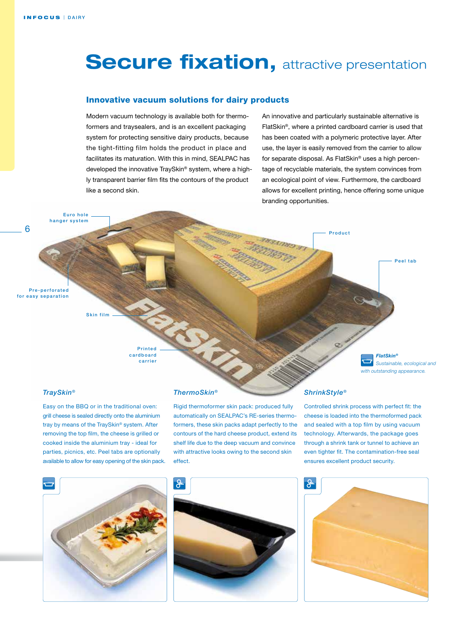## **Secure fixation, attractive presentation**

### Innovative vacuum solutions for dairy products

Modern vacuum technology is available both for thermoformers and traysealers, and is an excellent packaging system for protecting sensitive dairy products, because the tight-fitting film holds the product in place and facilitates its maturation. With this in mind, SEALPAC has developed the innovative TraySkin® system, where a highly transparent barrier film fits the contours of the product like a second skin.

An innovative and particularly sustainable alternative is FlatSkin®, where a printed cardboard carrier is used that has been coated with a polymeric protective layer. After use, the layer is easily removed from the carrier to allow for separate disposal. As FlatSkin® uses a high percentage of recyclable materials, the system convinces from an ecological point of view. Furthermore, the cardboard allows for excellent printing, hence offering some unique branding opportunities.

Product

Pre-perforated for easy separation

6

**Printed** c a r d b o a r d carrier

### *TraySkin®*

Easy on the BBQ or in the traditional oven: grill cheese is sealed directly onto the aluminium tray by means of the TraySkin® system. After removing the top film, the cheese is grilled or cooked inside the aluminium tray - ideal for parties, picnics, etc. Peel tabs are optionally available to allow for easy opening of the skin pack.

Skin film

Euro hole hanger system



### *ThermoSkin®*

Rigid thermoformer skin pack: produced fully automatically on SEALPAC's RE-series thermoformers, these skin packs adapt perfectly to the contours of the hard cheese product, extend its shelf life due to the deep vacuum and convince with attractive looks owing to the second skin effect.



Controlled shrink process with perfect fit: the cheese is loaded into the thermoformed pack and sealed with a top film by using vacuum technology. Afterwards, the package goes through a shrink tank or tunnel to achieve an even tighter fit. The contamination-free seal ensures excellent product security.

*FlatSkin®*

*Sustainable, ecological and with outstanding appearance.*

Peel tab



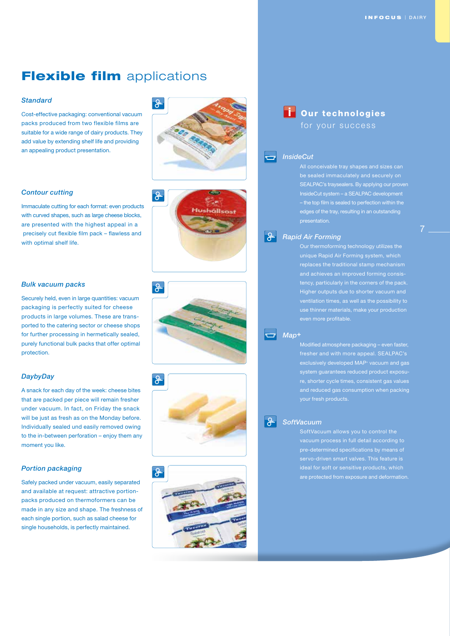## **Flexible film** applications

### *Standard*

Cost-effective packaging: conventional vacuum packs produced from two flexible films are suitable for a wide range of dairy products. They add value by extending shelf life and providing an appealing product presentation.

### *Contour cutting*

Immaculate cutting for each format: even products with curved shapes, such as large cheese blocks, are presented with the highest appeal in a precisely cut flexible film pack – flawless and with optimal shelf life.

### *Bulk vacuum packs*

Securely held, even in large quantities: vacuum packaging is perfectly suited for cheese products in large volumes. These are transported to the catering sector or cheese shops for further processing in hermetically sealed, purely functional bulk packs that offer optimal protection.

### *DaybyDay*

A snack for each day of the week: cheese bites that are packed per piece will remain fresher under vacuum. In fact, on Friday the snack will be just as fresh as on the Monday before. Individually sealed und easily removed owing to the in-between perforation – enjoy them any moment you like.

### *Portion packaging*

Safely packed under vacuum, easily separated and available at request: attractive portionpacks produced on thermoformers can be made in any size and shape. The freshness of each single portion, such as salad cheese for single households, is perfectly maintained.











i Our technologies

### *InsideCut*

 $\overline{\phantom{a}}$ 

SEALPAC's traysealers. By applying our proven InsideCut system – a SEALPAC development edges of the tray, resulting in an outstanding

### $\mathsf{R}$ *Rapid Air Forming*

Our thermoforming technology utilizes the unique Rapid Air Forming system, which replaces the traditional stamp mechanism and achieves an improved forming consistency, particularly in the corners of the pack. Higher outputs due to shorter vacuum and

### *Map+*

Modified atmosphere packaging – even faster, fresher and with more appeal. SEALPAC's exclusively developed MAP+ vacuum and gas system guarantees reduced product exposure, shorter cycle times, consistent gas value educed gas consumption when packing

### $\mathsf{R}$ *SoftVacuum*

SoftVacuum allows you to control the vacuum process in full detail according to are protected from exposure and deformation.